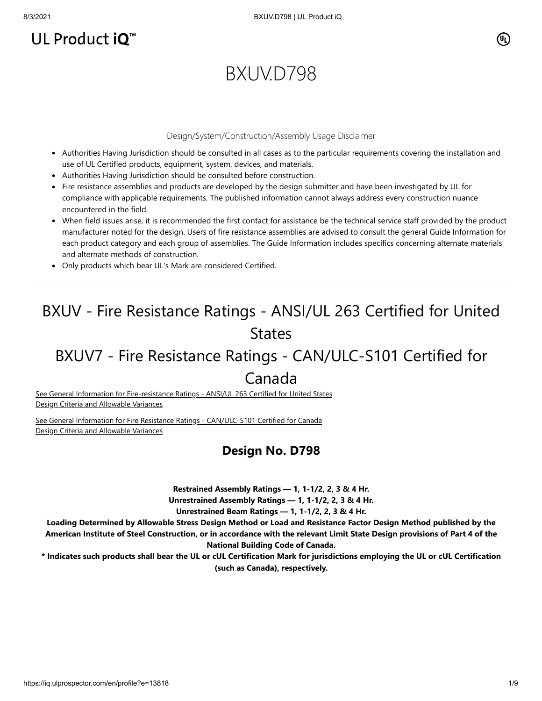# UL Product iQ<sup>™</sup>

# BXUV.D798

#### Design/System/Construction/Assembly Usage Disclaimer

- Authorities Having Jurisdiction should be consulted in all cases as to the particular requirements covering the installation and use of UL Certified products, equipment, system, devices, and materials.
- Authorities Having Jurisdiction should be consulted before construction.
- Fire resistance assemblies and products are developed by the design submitter and have been investigated by UL for compliance with applicable requirements. The published information cannot always address every construction nuance encountered in the field.
- When field issues arise, it is recommended the first contact for assistance be the technical service staff provided by the product manufacturer noted for the design. Users of fire resistance assemblies are advised to consult the general Guide Information for each product category and each group of assemblies. The Guide Information includes specifics concerning alternate materials and alternate methods of construction.
- Only products which bear UL's Mark are considered Certified.

# BXUV - Fire Resistance Ratings - ANSI/UL 263 Certified for United **States**

# BXUV7 - Fire Resistance Ratings - CAN/ULC-S101 Certified for

# Canada

[See General Information for Fire-resistance Ratings - ANSI/UL 263 Certified for United States](https://iq.ulprospector.com/en/cgi-bin/XYV/template/LISEXT/1FRAME/showpage.html?name=BXUV.GuideInfo&ccnshorttitle=Fire-resistance+Ratings+-+ANSI/UL+263&objid=1074327030&cfgid=1073741824&version=versionless&parent_id=1073984818&sequence=1) Design Criteria and Allowable Variances

[See General Information for Fire Resistance Ratings - CAN/ULC-S101 Certified for Canada](https://iq.ulprospector.com/en/cgi-bin/XYV/template/LISEXT/1FRAME/showpage.html?name=BXUV7.GuideInfo&ccnshorttitle=Fire+Resistance+Ratings+-+CAN/ULC-S101+Certified+for+Canada&objid=1074205658&cfgid=1073741824&version=versionless&parent_id=1073984820&sequence=1) Design Criteria and Allowable Variances

#### **Design No. D798**

**Restrained Assembly Ratings — 1, 1-1/2, 2, 3 & 4 Hr.**

**Unrestrained Assembly Ratings — 1, 1-1/2, 2, 3 & 4 Hr.**

**Unrestrained Beam Ratings — 1, 1-1/2, 2, 3 & 4 Hr.**

**Loading Determined by Allowable Stress Design Method or Load and Resistance Factor Design Method published by the American Institute of Steel Construction, or in accordance with the relevant Limit State Design provisions of Part 4 of the National Building Code of Canada.**

**\* Indicates such products shall bear the UL or cUL Certification Mark for jurisdictions employing the UL or cUL Certification (such as Canada), respectively.**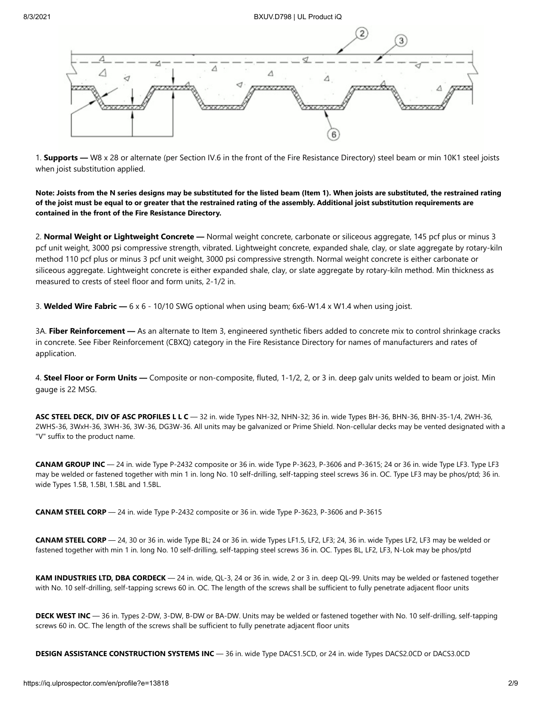

1. **Supports —** W8 x 28 or alternate (per Section IV.6 in the front of the Fire Resistance Directory) steel beam or min 10K1 steel joists when joist substitution applied.

**Note: Joists from the N series designs may be substituted for the listed beam (Item 1). When joists are substituted, the restrained rating of the joist must be equal to or greater that the restrained rating of the assembly. Additional joist substitution requirements are contained in the front of the Fire Resistance Directory.**

2. **Normal Weight or Lightweight Concrete —** Normal weight concrete, carbonate or siliceous aggregate, 145 pcf plus or minus 3 pcf unit weight, 3000 psi compressive strength, vibrated. Lightweight concrete, expanded shale, clay, or slate aggregate by rotary-kiln method 110 pcf plus or minus 3 pcf unit weight, 3000 psi compressive strength. Normal weight concrete is either carbonate or siliceous aggregate. Lightweight concrete is either expanded shale, clay, or slate aggregate by rotary-kiln method. Min thickness as measured to crests of steel floor and form units, 2-1/2 in.

3. **Welded Wire Fabric —** 6 x 6 - 10/10 SWG optional when using beam; 6x6-W1.4 x W1.4 when using joist.

3A. **Fiber Reinforcement —** As an alternate to Item 3, engineered synthetic fibers added to concrete mix to control shrinkage cracks in concrete. See Fiber Reinforcement (CBXQ) category in the Fire Resistance Directory for names of manufacturers and rates of application.

4. **Steel Floor or Form Units —** Composite or non-composite, fluted, 1-1/2, 2, or 3 in. deep galv units welded to beam or joist. Min gauge is 22 MSG.

**ASC STEEL DECK, DIV OF ASC PROFILES L L C** — 32 in. wide Types NH-32, NHN-32; 36 in. wide Types BH-36, BHN-36, BHN-35-1/4, 2WH-36, 2WHS-36, 3WxH-36, 3WH-36, 3W-36, DG3W-36. All units may be galvanized or Prime Shield. Non-cellular decks may be vented designated with a "V" suffix to the product name.

**CANAM GROUP INC** — 24 in. wide Type P-2432 composite or 36 in. wide Type P-3623, P-3606 and P-3615; 24 or 36 in. wide Type LF3. Type LF3 may be welded or fastened together with min 1 in. long No. 10 self-drilling, self-tapping steel screws 36 in. OC. Type LF3 may be phos/ptd; 36 in. wide Types 1.5B, 1.5BI, 1.5BL and 1.5BL.

**CANAM STEEL CORP** — 24 in. wide Type P-2432 composite or 36 in. wide Type P-3623, P-3606 and P-3615

**CANAM STEEL CORP** — 24, 30 or 36 in. wide Type BL; 24 or 36 in. wide Types LF1.5, LF2, LF3; 24, 36 in. wide Types LF2, LF3 may be welded or fastened together with min 1 in. long No. 10 self-drilling, self-tapping steel screws 36 in. OC. Types BL, LF2, LF3, N-Lok may be phos/ptd

**KAM INDUSTRIES LTD, DBA CORDECK** — 24 in. wide, QL-3, 24 or 36 in. wide, 2 or 3 in. deep QL-99. Units may be welded or fastened together with No. 10 self-drilling, self-tapping screws 60 in. OC. The length of the screws shall be sufficient to fully penetrate adjacent floor units

**DECK WEST INC** — 36 in. Types 2-DW, 3-DW, B-DW or BA-DW. Units may be welded or fastened together with No. 10 self-drilling, self-tapping screws 60 in. OC. The length of the screws shall be sufficient to fully penetrate adjacent floor units

**DESIGN ASSISTANCE CONSTRUCTION SYSTEMS INC** — 36 in. wide Type DACS1.5CD, or 24 in. wide Types DACS2.0CD or DACS3.0CD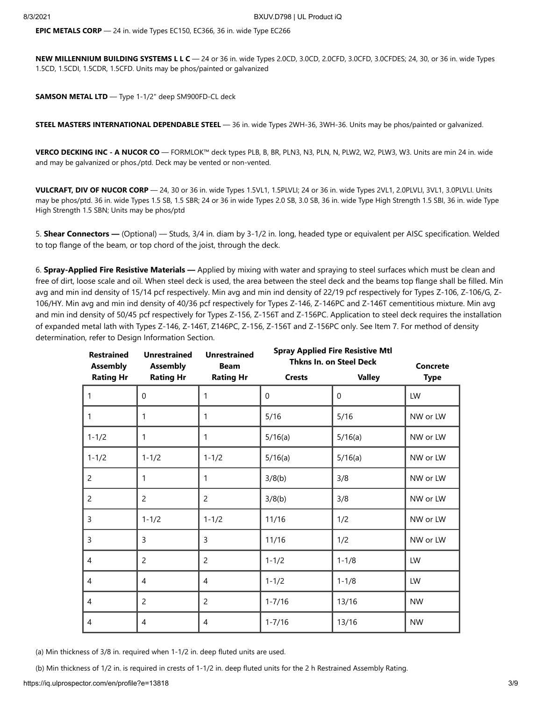**EPIC METALS CORP** — 24 in. wide Types EC150, EC366, 36 in. wide Type EC266

**NEW MILLENNIUM BUILDING SYSTEMS L L C** — 24 or 36 in. wide Types 2.0CD, 3.0CD, 2.0CFD, 3.0CFD, 3.0CFDES; 24, 30, or 36 in. wide Types 1.5CD, 1.5CDI, 1.5CDR, 1.5CFD. Units may be phos/painted or galvanized

**SAMSON METAL LTD** — Type 1-1/2" deep SM900FD-CL deck

**STEEL MASTERS INTERNATIONAL DEPENDABLE STEEL** — 36 in. wide Types 2WH-36, 3WH-36. Units may be phos/painted or galvanized.

**VERCO DECKING INC - A NUCOR CO** — FORMLOK™ deck types PLB, B, BR, PLN3, N3, PLN, N, PLW2, W2, PLW3, W3. Units are min 24 in. wide and may be galvanized or phos./ptd. Deck may be vented or non-vented.

**VULCRAFT, DIV OF NUCOR CORP** — 24, 30 or 36 in. wide Types 1.5VL1, 1.5PLVLI; 24 or 36 in. wide Types 2VL1, 2.0PLVLI, 3VL1, 3.0PLVLI. Units may be phos/ptd. 36 in. wide Types 1.5 SB, 1.5 SBR; 24 or 36 in wide Types 2.0 SB, 3.0 SB, 36 in. wide Type High Strength 1.5 SBI, 36 in. wide Type High Strength 1.5 SBN; Units may be phos/ptd

5. **Shear Connectors —** (Optional) — Studs, 3/4 in. diam by 3-1/2 in. long, headed type or equivalent per AISC specification. Welded to top flange of the beam, or top chord of the joist, through the deck.

6. **Spray-Applied Fire Resistive Materials —** Applied by mixing with water and spraying to steel surfaces which must be clean and free of dirt, loose scale and oil. When steel deck is used, the area between the steel deck and the beams top flange shall be filled. Min avg and min ind density of 15/14 pcf respectively. Min avg and min ind density of 22/19 pcf respectively for Types Z-106, Z-106/G, Z-106/HY. Min avg and min ind density of 40/36 pcf respectively for Types Z-146, Z-146PC and Z-146T cementitious mixture. Min avg and min ind density of 50/45 pcf respectively for Types Z-156, Z-156T and Z-156PC. Application to steel deck requires the installation of expanded metal lath with Types Z-146, Z-146T, Z146PC, Z-156, Z-156T and Z-156PC only. See Item 7. For method of density determination, refer to Design Information Section.

| <b>Restrained</b><br><b>Assembly</b> | <b>Unrestrained</b><br><b>Assembly</b> | <b>Unrestrained</b><br><b>Beam</b> |               | <b>Spray Applied Fire Resistive Mtl</b><br>Thkns In. on Steel Deck | Concrete    |
|--------------------------------------|----------------------------------------|------------------------------------|---------------|--------------------------------------------------------------------|-------------|
| <b>Rating Hr</b>                     | <b>Rating Hr</b>                       | <b>Rating Hr</b>                   | <b>Crests</b> | <b>Valley</b>                                                      | <b>Type</b> |
| 1                                    | $\Omega$                               | 1                                  | $\Omega$      | $\Omega$                                                           | LW          |
| 1                                    | 1                                      | 1                                  | 5/16          | 5/16                                                               | NW or LW    |
| $1 - 1/2$                            | 1                                      | 1                                  | 5/16(a)       | 5/16(a)                                                            | NW or LW    |
| $1 - 1/2$                            | $1 - 1/2$                              | $1 - 1/2$                          | 5/16(a)       | 5/16(a)                                                            | NW or LW    |
| $\overline{c}$                       | 1                                      | 1                                  | 3/8(b)        | 3/8                                                                | NW or LW    |
| $\overline{2}$                       | $\overline{2}$                         | $\overline{2}$                     | 3/8(b)        | 3/8                                                                | NW or LW    |
| 3                                    | $1 - 1/2$                              | $1 - 1/2$                          | 11/16         | 1/2                                                                | NW or LW    |
| 3                                    | 3                                      | $\overline{3}$                     | 11/16         | 1/2                                                                | NW or LW    |
| 4                                    | 2                                      | $\overline{2}$                     | $1 - 1/2$     | $1 - 1/8$                                                          | LW          |
| 4                                    | 4                                      | $\overline{4}$                     | $1 - 1/2$     | $1 - 1/8$                                                          | LW          |
| 4                                    | 2                                      | 2                                  | $1 - 7/16$    | 13/16                                                              | <b>NW</b>   |
| 4                                    | 4                                      | 4                                  | $1 - 7/16$    | 13/16                                                              | <b>NW</b>   |

(a) Min thickness of 3/8 in. required when 1-1/2 in. deep fluted units are used.

(b) Min thickness of 1/2 in. is required in crests of 1-1/2 in. deep fluted units for the 2 h Restrained Assembly Rating.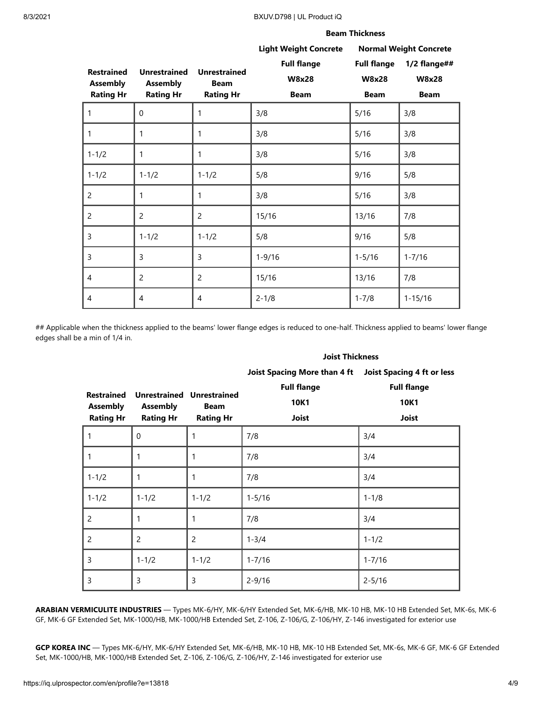#### 8/3/2021 BXUV.D798 | UL Product iQ

|                   |                     |                     | <b>Beam Thickness</b>        |                    |                               |  |
|-------------------|---------------------|---------------------|------------------------------|--------------------|-------------------------------|--|
|                   |                     |                     | <b>Light Weight Concrete</b> |                    | <b>Normal Weight Concrete</b> |  |
| <b>Restrained</b> | <b>Unrestrained</b> | <b>Unrestrained</b> | <b>Full flange</b>           | <b>Full flange</b> | $1/2$ flange##                |  |
| <b>Assembly</b>   | <b>Assembly</b>     | <b>Beam</b>         | <b>W8x28</b>                 | <b>W8x28</b>       | <b>W8x28</b>                  |  |
| <b>Rating Hr</b>  | <b>Rating Hr</b>    | <b>Rating Hr</b>    | <b>Beam</b>                  | <b>Beam</b>        | <b>Beam</b>                   |  |
| 1                 | $\Omega$            | 1                   | 3/8                          | 5/16               | 3/8                           |  |
| $\mathbf{1}$      | 1                   | $\mathbf{1}$        | 3/8                          | 5/16               | 3/8                           |  |
| $1 - 1/2$         | 1                   | 1                   | 3/8                          | 5/16               | 3/8                           |  |
| $1 - 1/2$         | $1 - 1/2$           | $1 - 1/2$           | 5/8                          | 9/16               | 5/8                           |  |
| 2                 | 1                   | 1                   | 3/8                          | 5/16               | 3/8                           |  |
| $\overline{c}$    | $\overline{c}$      | $\overline{2}$      | 15/16                        | 13/16              | 7/8                           |  |
| 3                 | $1 - 1/2$           | $1 - 1/2$           | 5/8                          | 9/16               | 5/8                           |  |
| 3                 | 3                   | 3                   | $1 - 9/16$                   | $1 - 5/16$         | $1 - 7/16$                    |  |
| $\overline{4}$    | $\overline{2}$      | $\overline{c}$      | 15/16                        | 13/16              | 7/8                           |  |
| $\overline{4}$    | 4                   | $\overline{4}$      | $2 - 1/8$                    | $1 - 7/8$          | $1 - 15/16$                   |  |

## Applicable when the thickness applied to the beams' lower flange edges is reduced to one-half. Thickness applied to beams' lower flange edges shall be a min of 1/4 in.

| <b>Joist Thickness</b> |  |
|------------------------|--|
|------------------------|--|

| <b>Restrained</b><br><b>Assembly</b><br><b>Rating Hr</b> | <b>Unrestrained</b><br><b>Assembly</b><br><b>Rating Hr</b> | <b>Unrestrained</b><br><b>Beam</b><br><b>Rating Hr</b> | <b>Joist Spacing More than 4 ft</b><br><b>Full flange</b><br>10K1<br>Joist | <b>Joist Spacing 4 ft or less</b><br><b>Full flange</b><br>10K1<br>Joist |
|----------------------------------------------------------|------------------------------------------------------------|--------------------------------------------------------|----------------------------------------------------------------------------|--------------------------------------------------------------------------|
| $\mathbf{1}$                                             | 0                                                          | 1                                                      | 7/8                                                                        | 3/4                                                                      |
| $\mathbf{1}$                                             | 1                                                          |                                                        | 7/8                                                                        | 3/4                                                                      |
| $1 - 1/2$                                                | 1                                                          | 1                                                      | 7/8                                                                        | 3/4                                                                      |
| $1 - 1/2$                                                | $1 - 1/2$                                                  | $1 - 1/2$                                              | $1 - 5/16$                                                                 | $1 - 1/8$                                                                |
| $\overline{c}$                                           |                                                            | 1                                                      | 7/8                                                                        | 3/4                                                                      |
| 2                                                        | $\overline{2}$                                             | 2                                                      | $1 - 3/4$                                                                  | $1 - 1/2$                                                                |
| 3                                                        | $1 - 1/2$                                                  | $1 - 1/2$                                              | $1 - 7/16$                                                                 | $1 - 7/16$                                                               |
| 3                                                        | 3                                                          | 3                                                      | $2 - 9/16$                                                                 | $2 - 5/16$                                                               |

**ARABIAN VERMICULITE INDUSTRIES** — Types MK-6/HY, MK-6/HY Extended Set, MK-6/HB, MK-10 HB, MK-10 HB Extended Set, MK-6s, MK-6 GF, MK-6 GF Extended Set, MK-1000/HB, MK-1000/HB Extended Set, Z-106, Z-106/G, Z-106/HY, Z-146 investigated for exterior use

**GCP KOREA INC** — Types MK-6/HY, MK-6/HY Extended Set, MK-6/HB, MK-10 HB, MK-10 HB Extended Set, MK-6s, MK-6 GF, MK-6 GF Extended Set, MK-1000/HB, MK-1000/HB Extended Set, Z-106, Z-106/G, Z-106/HY, Z-146 investigated for exterior use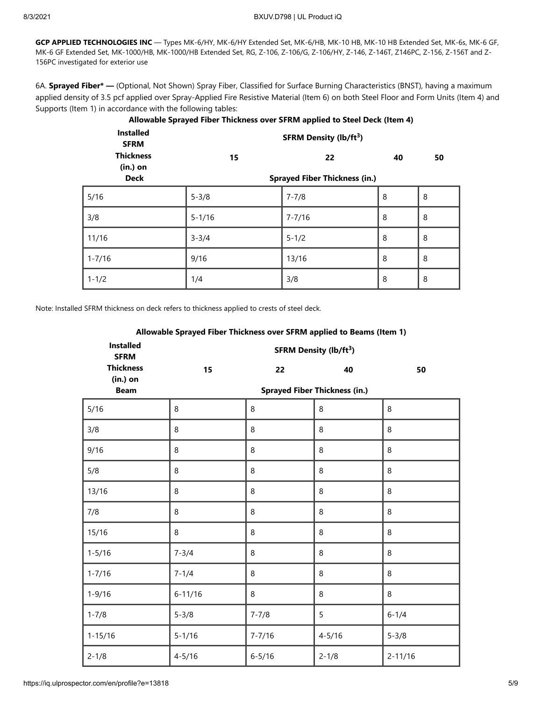**GCP APPLIED TECHNOLOGIES INC** — Types MK-6/HY, MK-6/HY Extended Set, MK-6/HB, MK-10 HB, MK-10 HB Extended Set, MK-6s, MK-6 GF, MK-6 GF Extended Set, MK-1000/HB, MK-1000/HB Extended Set, RG, Z-106, Z-106/G, Z-106/HY, Z-146, Z-146T, Z146PC, Z-156, Z-156T and Z-156PC investigated for exterior use

6A. **Sprayed Fiber\* —** (Optional, Not Shown) Spray Fiber, Classified for Surface Burning Characteristics (BNST), having a maximum applied density of 3.5 pcf applied over Spray-Applied Fire Resistive Material (Item 6) on both Steel Floor and Form Units (Item 4) and Supports (Item 1) in accordance with the following tables:

| <b>Installed</b><br><b>SFRM</b> |                                      | <b>SFRM Density (lb/ft3)</b> |    |    |
|---------------------------------|--------------------------------------|------------------------------|----|----|
| <b>Thickness</b><br>$(in.)$ on  | 15                                   | 22                           | 40 | 50 |
| <b>Deck</b>                     | <b>Sprayed Fiber Thickness (in.)</b> |                              |    |    |
| 5/16                            | $5 - 3/8$                            | 7-7/8                        | 8  | 8  |
| 3/8                             | $5 - 1/16$                           | $7 - 7/16$                   | 8  | 8  |
| 11/16                           | $3 - 3/4$                            | $5 - 1/2$                    | 8  | 8  |
| $1 - 7/16$                      | 9/16                                 | 13/16                        | 8  | 8  |
| $1 - 1/2$                       | 1/4                                  | 3/8                          | 8  | 8  |

**Allowable Sprayed Fiber Thickness over SFRM applied to Steel Deck (Item 4)**

Note: Installed SFRM thickness on deck refers to thickness applied to crests of steel deck.

| <b>Installed</b><br><b>SFRM</b> |             | <b>SFRM Density (lb/ft3)</b> |                                      |             |
|---------------------------------|-------------|------------------------------|--------------------------------------|-------------|
| <b>Thickness</b><br>(in.) on    | 15          | 22                           | 40                                   | 50          |
| <b>Beam</b>                     |             |                              | <b>Sprayed Fiber Thickness (in.)</b> |             |
| 5/16                            | 8           | 8                            | 8                                    | 8           |
| 3/8                             | 8           | 8                            | 8                                    | 8           |
| 9/16                            | 8           | 8                            | 8                                    | 8           |
| 5/8                             | 8           | 8                            | 8                                    | $\,8\,$     |
| 13/16                           | 8           | 8                            | 8                                    | 8           |
| 7/8                             | 8           | 8                            | 8                                    | 8           |
| 15/16                           | 8           | 8                            | 8                                    | $\,8\,$     |
| $1 - 5/16$                      | $7 - 3/4$   | 8                            | 8                                    | 8           |
| $1 - 7/16$                      | $7 - 1/4$   | 8                            | 8                                    | $\,8\,$     |
| $1 - 9/16$                      | $6 - 11/16$ | 8                            | 8                                    | 8           |
| $1 - 7/8$                       | $5 - 3/8$   | $7 - 7/8$                    | 5                                    | $6 - 1/4$   |
| $1 - 15/16$                     | $5 - 1/16$  | $7 - 7/16$                   | $4 - 5/16$                           | $5 - 3/8$   |
| $2 - 1/8$                       | $4 - 5/16$  | $6 - 5/16$                   | $2 - 1/8$                            | $2 - 11/16$ |

**Allowable Sprayed Fiber Thickness over SFRM applied to Beams (Item 1)**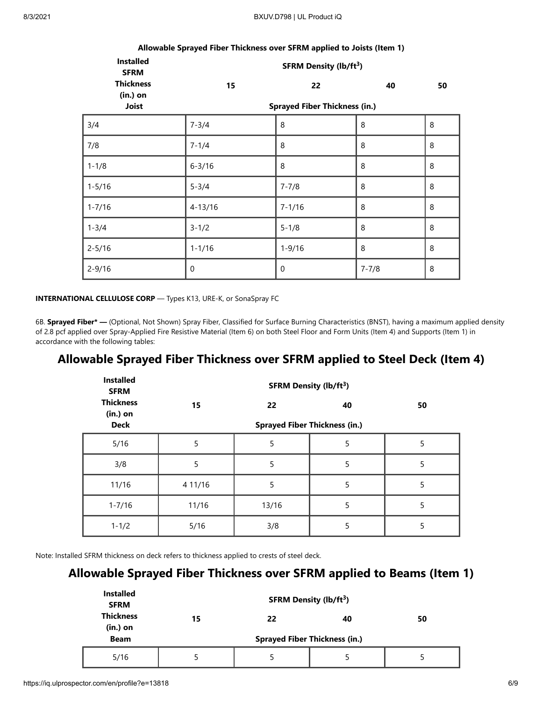| Anowable opingen riber rinewitess over or two applied to solsts (from 1) |                                    |                                            |           |    |  |
|--------------------------------------------------------------------------|------------------------------------|--------------------------------------------|-----------|----|--|
| <b>Installed</b><br><b>SFRM</b>                                          | SFRM Density (lb/ft <sup>3</sup> ) |                                            |           |    |  |
| <b>Thickness</b><br>$(in.)$ on<br>Joist                                  | 15                                 | 22<br><b>Sprayed Fiber Thickness (in.)</b> | 40        | 50 |  |
| 3/4                                                                      | $7 - 3/4$                          | 8                                          | 8         | 8  |  |
| 7/8                                                                      | $7 - 1/4$                          | 8                                          | 8         | 8  |  |
| $1 - 1/8$                                                                | $6 - 3/16$                         | 8                                          | 8         | 8  |  |
| $1 - 5/16$                                                               | $5 - 3/4$                          | $7 - 7/8$                                  | 8         | 8  |  |
| $1 - 7/16$                                                               | $4 - 13/16$                        | $7 - 1/16$                                 | 8         | 8  |  |
| $1 - 3/4$                                                                | $3 - 1/2$                          | $5 - 1/8$                                  | 8         | 8  |  |
| $2 - 5/16$                                                               | $1 - 1/16$                         | $1 - 9/16$                                 | 8         | 8  |  |
| $2 - 9/16$                                                               | $\pmb{0}$                          | $\mathbf 0$                                | $7 - 7/8$ | 8  |  |

# **Allowable Sprayed Fiber Thickness over SFRM applied to Joists (Item 1)**

**INTERNATIONAL CELLULOSE CORP** — Types K13, URE-K, or SonaSpray FC

6B. **Sprayed Fiber\* —** (Optional, Not Shown) Spray Fiber, Classified for Surface Burning Characteristics (BNST), having a maximum applied density of 2.8 pcf applied over Spray-Applied Fire Resistive Material (Item 6) on both Steel Floor and Form Units (Item 4) and Supports (Item 1) in accordance with the following tables:

#### **Allowable Sprayed Fiber Thickness over SFRM applied to Steel Deck (Item 4)**

| <b>Installed</b><br><b>SFRM</b> | <b>SFRM Density (lb/ft3)</b> |                                      |    |    |  |
|---------------------------------|------------------------------|--------------------------------------|----|----|--|
| <b>Thickness</b><br>$(in.)$ on  | 15                           | 22                                   | 40 | 50 |  |
| <b>Deck</b>                     |                              | <b>Sprayed Fiber Thickness (in.)</b> |    |    |  |
| 5/16                            | 5                            | 5                                    | 5  | 5  |  |
| 3/8                             | 5                            | 5                                    | 5  | 5  |  |
| 11/16                           | 4 11/16                      | 5                                    | 5  | 5  |  |
| $1 - 7/16$                      | 11/16                        | 13/16                                | 5  | 5  |  |
| $1 - 1/2$                       | 5/16                         | 3/8                                  | 5  | 5  |  |

Note: Installed SFRM thickness on deck refers to thickness applied to crests of steel deck.

## **Allowable Sprayed Fiber Thickness over SFRM applied to Beams (Item 1)**

| <b>Installed</b><br><b>SFRM</b> |    | <b>SFRM Density (lb/ft<sup>3</sup>)</b> |    |    |
|---------------------------------|----|-----------------------------------------|----|----|
| <b>Thickness</b><br>$(in.)$ on  | 15 | 22                                      | 40 | 50 |
| <b>Beam</b>                     |    | <b>Sprayed Fiber Thickness (in.)</b>    |    |    |
| 5/16                            |    | 5                                       |    | 5  |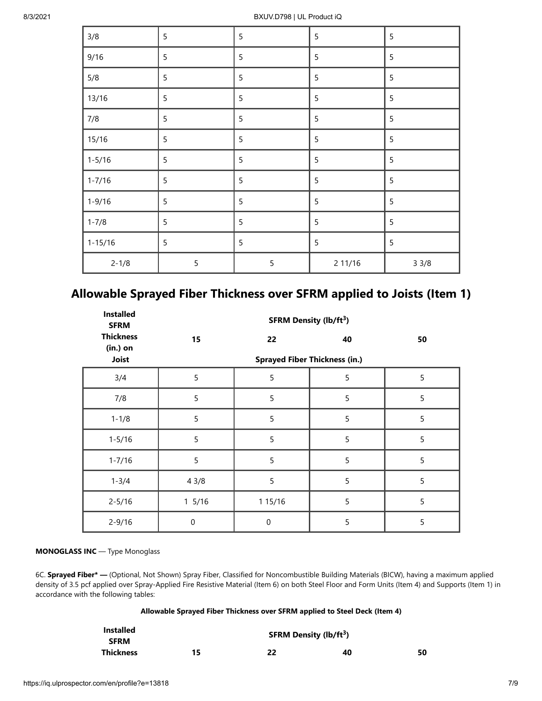| 3/8         | 5              | 5 | 5       | 5    |
|-------------|----------------|---|---------|------|
| 9/16        | 5              | 5 | 5       | 5    |
| 5/8         | 5              | 5 | 5       | 5    |
| 13/16       | $\overline{5}$ | 5 | 5       | 5    |
| 7/8         | $\overline{5}$ | 5 | 5       | 5    |
| 15/16       | 5              | 5 | 5       | 5    |
| $1 - 5/16$  | 5              | 5 | 5       | 5    |
| $1 - 7/16$  | $\overline{5}$ | 5 | 5       | 5    |
| $1 - 9/16$  | 5              | 5 | 5       | 5    |
| $1 - 7/8$   | 5              | 5 | 5       | 5    |
| $1 - 15/16$ | 5              | 5 | 5       | 5    |
| $2 - 1/8$   | 5              | 5 | 2 11/16 | 33/8 |

# **Allowable Sprayed Fiber Thickness over SFRM applied to Joists (Item 1)**

| <b>Installed</b><br><b>SFRM</b> |                                      | <b>SFRM Density (lb/ft3)</b> |                |    |  |  |
|---------------------------------|--------------------------------------|------------------------------|----------------|----|--|--|
| <b>Thickness</b><br>(in.) on    | 15                                   | 22                           | 40             | 50 |  |  |
| Joist                           | <b>Sprayed Fiber Thickness (in.)</b> |                              |                |    |  |  |
| 3/4                             | 5                                    | 5                            | 5              | 5  |  |  |
| 7/8                             | 5                                    | 5                            | 5              | 5  |  |  |
| $1 - 1/8$                       | 5                                    | 5                            | 5              | 5  |  |  |
| $1 - 5/16$                      | 5                                    | 5                            | 5              | 5  |  |  |
| $1 - 7/16$                      | 5                                    | 5                            | 5              | 5  |  |  |
| $1 - 3/4$                       | 43/8                                 | 5                            | 5              | 5  |  |  |
| $2 - 5/16$                      | 15/16                                | 1 15/16                      | 5              | 5  |  |  |
| $2 - 9/16$                      | $\mathbf 0$                          | 0                            | $\overline{5}$ | 5  |  |  |

#### **MONOGLASS INC** — Type Monoglass

6C. **Sprayed Fiber\* —** (Optional, Not Shown) Spray Fiber, Classified for Noncombustible Building Materials (BICW), having a maximum applied density of 3.5 pcf applied over Spray-Applied Fire Resistive Material (Item 6) on both Steel Floor and Form Units (Item 4) and Supports (Item 1) in accordance with the following tables:

#### **Allowable Sprayed Fiber Thickness over SFRM applied to Steel Deck (Item 4)**

| <b>Installed</b> |    | <b>SFRM Density (lb/ft<sup>3</sup>)</b> |    |    |
|------------------|----|-----------------------------------------|----|----|
| <b>SFRM</b>      |    |                                         |    |    |
| Thickness        | 15 | 22                                      | 40 | 50 |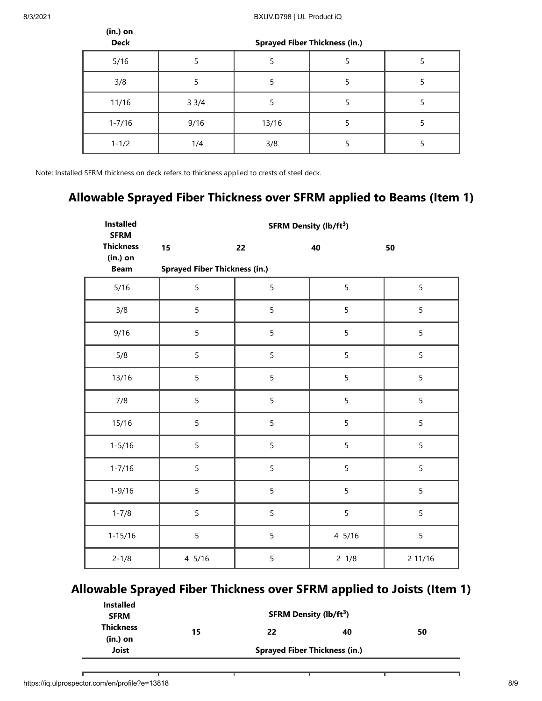**(in.) on** 

| Deck       | <b>Sprayed Fiber Thickness (in.)</b> |       |  |  |
|------------|--------------------------------------|-------|--|--|
| 5/16       |                                      |       |  |  |
| 3/8        |                                      |       |  |  |
| 11/16      | 33/4                                 |       |  |  |
| $1 - 7/16$ | 9/16                                 | 13/16 |  |  |
| $1 - 1/2$  | 1/4                                  | 3/8   |  |  |

Note: Installed SFRM thickness on deck refers to thickness applied to crests of steel deck.

## **Allowable Sprayed Fiber Thickness over SFRM applied to Beams (Item 1)**

| <b>Installed</b><br><b>SFRM</b> | <b>SFRM Density (lb/ft3)</b>         |    |                 |         |  |
|---------------------------------|--------------------------------------|----|-----------------|---------|--|
| <b>Thickness</b>                | 15                                   | 22 | 40              | 50      |  |
| (in.) on<br><b>Beam</b>         | <b>Sprayed Fiber Thickness (in.)</b> |    |                 |         |  |
| 5/16                            | 5                                    | 5  | 5               | 5       |  |
| 3/8                             | 5                                    | 5  | 5               | 5       |  |
| 9/16                            | 5                                    | 5  | 5               | 5       |  |
| 5/8                             | 5                                    | 5  | 5               | 5       |  |
| 13/16                           | 5                                    | 5  | 5               | 5       |  |
| 7/8                             | 5                                    | 5  | 5               | 5       |  |
| 15/16                           | 5                                    | 5  | 5               | 5       |  |
| $1 - 5/16$                      | 5                                    | 5  | 5               | 5       |  |
| $1 - 7/16$                      | 5                                    | 5  | 5               | 5       |  |
| $1 - 9/16$                      | 5                                    | 5  | 5               | 5       |  |
| $1 - 7/8$                       | 5                                    | 5  | 5               | 5       |  |
| $1 - 15/16$                     | 5                                    | 5  | 4 5/16          | 5       |  |
| $2 - 1/8$                       | 4 5/16                               | 5  | $2 \frac{1}{8}$ | 2 11/16 |  |

## **Allowable Sprayed Fiber Thickness over SFRM applied to Joists (Item 1)**

| <b>Installed</b><br><b>SFRM</b> | <b>SFRM Density (lb/ft<sup>3</sup>)</b> |    |    |    |  |
|---------------------------------|-----------------------------------------|----|----|----|--|
| <b>Thickness</b><br>(in.) on    | 15                                      | 22 | 40 | 50 |  |
| Joist                           | <b>Sprayed Fiber Thickness (in.)</b>    |    |    |    |  |

г